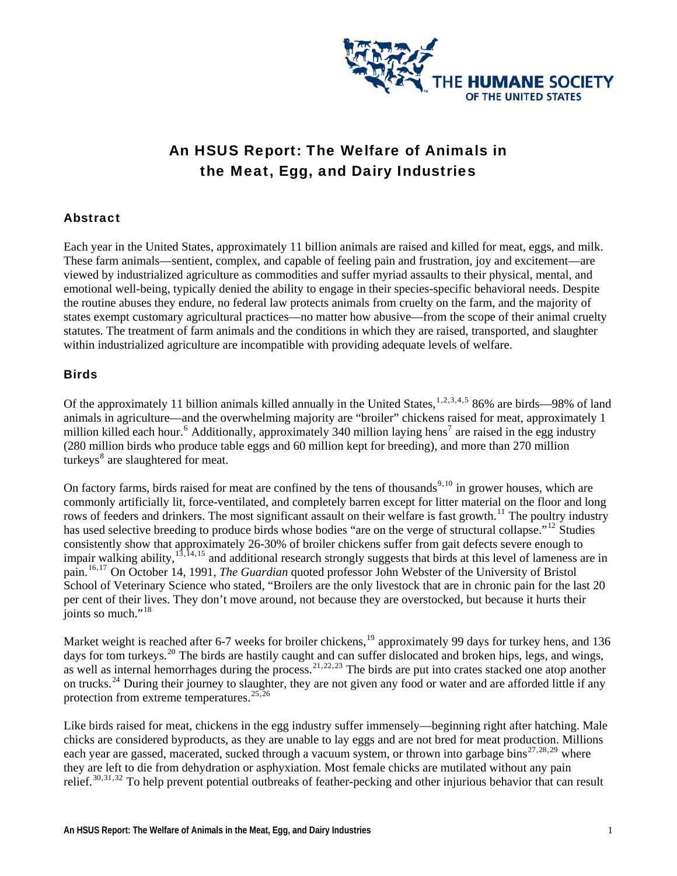

# An HSUS Report: The Welfare of Animals in the Meat, Egg, and Dairy Industries

#### Abstract

Each year in the United States, approximately 11 billion animals are raised and killed for meat, eggs, and milk. These farm animals—sentient, complex, and capable of feeling pain and frustration, joy and excitement—are viewed by industrialized agriculture as commodities and suffer myriad assaults to their physical, mental, and emotional well-being, typically denied the ability to engage in their species-specific behavioral needs. Despite the routine abuses they endure, no federal law protects animals from cruelty on the farm, and the majority of states exempt customary agricultural practices—no matter how abusive—from the scope of their animal cruelty statutes. The treatment of farm animals and the conditions in which they are raised, transported, and slaughter within industrialized agriculture are incompatible with providing adequate levels of welfare.

#### **Birds**

Of the approximately [1](#page-4-0)1 billion animals killed annually in the United States,  $1,2,3,4,5$  $1,2,3,4,5$  $1,2,3,4,5$  $1,2,3,4,5$  $1,2,3,4,5$  $1,2,3,4,5$  $1,2,3,4,5$  $1,2,3,4,5$  86% are birds—98% of land animals in agriculture—and the overwhelming majority are "broiler" chickens raised for meat, approximately 1 million killed each hour.<sup>[6](#page-4-1)</sup> Additionally, approximately 340 million laying hens<sup>[7](#page-4-1)</sup> are raised in the egg industry turkeys<sup>[8](#page-4-1)</sup> are slaughtered for meat. (280 million birds who produce table eggs and 60 million kept for breeding), and more than 270 million

joints so much."<sup>18</sup> On factory farms, birds raised for meat are confined by the tens of thousands<sup>[9](#page-4-1),[10](#page-5-0)</sup> in grower houses, which are commonly artificially lit, force-ventilated, and completely barren except for litter material on the floor and long rows of feeders and drinkers. The most significant assault on their welfare is fast growth.<sup>[11](#page-5-0)</sup> The poultry industry has used selective breeding to produce birds whose bodies "are on the verge of structural collapse."<sup>[12](#page-5-0)</sup> Studies consistently show that approximately 26-30% of broiler chickens suffer from gait defects severe enough to impair walking ability,  $13,14,15$  $13,14,15$  $13,14,15$  $13,14,15$  $13,14,15$  and additional research strongly suggests that birds at this level of lameness are in pain.[16](#page-5-0),[17](#page-5-0) On October 14, 1991, *The Guardian* quoted professor John Webster of the University of Bristol School of Veterinary Science who stated, "Broilers are the only livestock that are in chronic pain for the last 20 per cent of their lives. They don't move around, not because they are overstocked, but because it hurts their

Market weight is reached after 6-7 weeks for broiler chickens,<sup>[19](#page-5-0)</sup> approximately 99 days for turkey hens, and 136 days for tom turkeys.<sup>[20](#page-5-0)</sup> The birds are hastily caught and can suffer dislocated and broken hips, legs, and wings, as well as internal hemorrhages during the process.<sup>[21](#page-5-0),[22](#page-5-0),[23](#page-5-0)</sup> The birds are put into crates stacked one atop another on trucks.[24](#page-5-0) During their journey to slaughter, they are not given any food or water and are afforded little if any protection from extreme temperatures.<sup>[25](#page-5-0),[26](#page-5-0)</sup>

relief.<sup>[30](#page-5-0),[31](#page-5-0),[32](#page-5-0)</sup> To help prevent potential outbreaks of feather-pecking and other injurious behavior that can result Like birds raised for meat, chickens in the egg industry suffer immensely—beginning right after hatching. Male chicks are considered byproducts, as they are unable to lay eggs and are not bred for meat production. Millions each year are gassed, macerated, sucked through a vacuum system, or thrown into garbage bins<sup>[27](#page-5-0),[28](#page-5-0),[29](#page-5-0)</sup> where they are left to die from dehydration or asphyxiation. Most female chicks are mutilated without any pain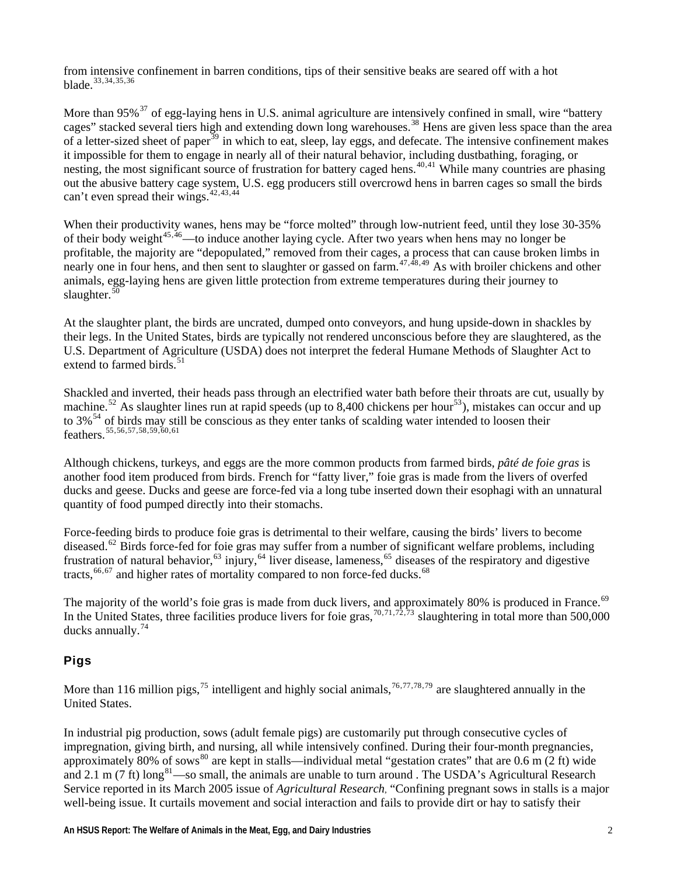from intensive confinement in barren conditions, tips of their sensitive beaks are seared off with a hot [b](#page-6-0)lade.[33](#page-5-0),[34](#page-6-0),[35](#page-6-0),[36](#page-6-0)

[cages" stacked several tiers high and extending down long warehouses.](#page-6-0)<sup>38</sup> [Hens are given less space than th](#page-6-0)e area nesting, the most significant source o[f frustration for battery caged hens.](#page-6-0)<sup>40,41</sup> While many countries are phasing out the abusive battery cage system, U.S. egg producers still overcrowd hens in barren cages so small the birds [More than 95%](#page-6-0)<sup>37</sup> of egg-laying hens in U.S. animal agriculture are intensively confined in small, wire "battery" [of a letter-sized sheet of paper](#page-6-0)<sup>39</sup> [in which to eat, sleep, lay eggs, and defecate. The intensive confinement makes](#page-6-0) [it impossible for them to engage in nearly all of their natural behavior, including dustbathing, foraging, or](#page-6-0)  [c](#page-6-0)an't even spread their wings. $42,43,44$  $42,43,44$  $42,43,44$  $42,43,44$  $42,43,44$ 

imbs in four hens, and then sent to slaughter or gassed on farm.  $47,48,49$  As with broiler chickens and other nimals, egg-laying hens are given little protection from extreme temperatures during their journey to a [When their productivity wanes, hens may be "force molted" through low-nutrient feed, until they lose 30-35%](#page-6-0)  [of their body weight](#page-6-0)<sup>45[,](#page-6-0)46</sup>—to induce another laying cycle. After two years when hens may no longer be [profitable, the majority are "depopulated," removed from their cages, a process that can cause broken l](#page-6-0) nearly one in four hens, and then sent to slaughter or gassed on farm.  $47,48,49$ [s](#page-6-0)laughter. $50$ 

[their legs. In the United St](#page-6-0)ates, birds are typically not rendered unconscious before they are slaughtered, as the U.S. Department of Agriculture (USDA) does not interpret the federal Humane Methods of Slaughter Act to [At the slaughter plant, the birds are uncrated, dumped onto conveyors, and hung upside-down in shackles by](#page-6-0)  [e](#page-6-0)xtend to farmed birds. $51$ 

[Shackled and inverted, their heads pass through an electrified water bath before their throats are cu](#page-6-0)t, usually by machine.<sup>52</sup> As slaughte[r lines run at rapid speeds \(up to 8,400 chickens per hour](#page-6-0)<sup>53</sup>), mistakes can occur and up to  $3\%$ <sup>[54](#page-6-0)</sup> of birds may still be conscious as they enter tanks of scalding water intended to loosen their feathers.55,56,57,58,59,60,61

another food item produced from birds. French for "fatty liver," foie gras is made from the livers of overfed ducks and geese. Ducks and geese are force-fed via a long tube inserted down their esophagi with an unnatural Although chickens, turkeys, and eggs are the more common products from farmed birds, *pâté de foie gras* is quantity of food pumped directly into their stomachs.

diseased.<sup>[62](#page-6-0)</sup> Birds force-fed for foie gras may suffer from a number of significant welfare problems, including frustration of natural behavior,  $63$  injury,  $64$  liver disease, lameness,  $65$  diseases of the respiratory and digestive Force-feeding birds to produce foie gras is detrimental to their welfare, causing the birds' livers to become [t](#page-7-0)racts,  $66,67$  $66,67$  $66,67$  and higher rates of mortality compared to non force-fed ducks.<sup>[68](#page-7-0)</sup>

 [world's foie gras is made from duck livers, and approximately 80% is produced in France.](#page-7-0) the United States, three facilities produce livers for foie gras,  $70,71,72,73$  slaughtering in total more than 500,000 ducks annually. $^{74}$ The majority of the world's foie gras is made from duck livers, and approximately 80% is produced in France.<sup>69</sup> In

# Pigs

More than 116 million pigs,  $^{75}$  intelligent and highly social animals,  $^{76,77,78,79}$  are slaughtered annually in the United States.

and 2.1 m (7 ft) long<sup>[81](#page-7-0)</sup>—so small, the animals are unable to turn around . The USDA's Agricultural Research In industrial pig production, sows (adult female pigs) are customarily put through consecutive cycles of impregnation, giving birth, and nursing, all while intensively confined. During their four-month pregnancies, approximately [80](#page-7-0)% of sows<sup>80</sup> are kept in stalls—individual metal "gestation crates" that are  $0.6$  m ( $2$  ft) wide Service reported in its March 2005 issue of *Agricultural Research*, "Confining pregnant sows in stalls is a major well-being issue. It curtails movement and social interaction and fails to provide dirt or hay to satisfy their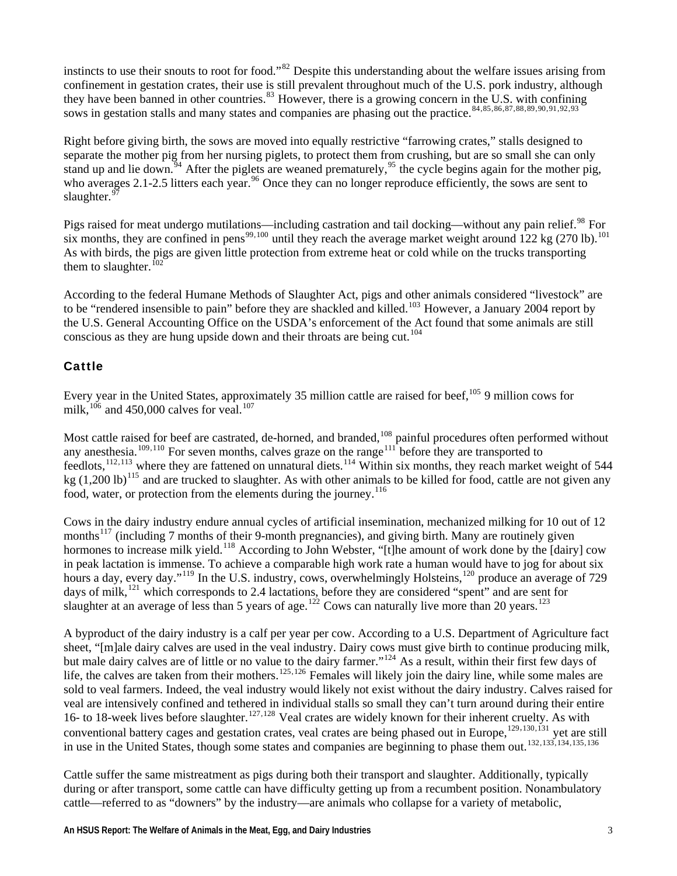instincts to use their snouts to root for food."<sup>[82](#page-7-0)</sup> Despite this understanding about the welfare issues arising from confinement in gestation crates, their use is still prevalent throughout much of the U.S. pork industry, alt hough they have been banned in other countries.<sup>83</sup> However, there is a growing concern in the U.S. with confining [s](#page-8-0)ows in gestation stalls and many states and companies are phasing out the practice.<sup>[84](#page-8-0),[85](#page-8-0),[86](#page-8-0),[87,88,89,90,91,92,93](#page-8-0)</sup>

stand up and lie down.<sup>34</sup> After the piglets are weaned prematurely, <sup>95</sup> the cycle begins again for the mother pig, who averages 2.1-2.5 litters each year.<sup>96</sup> Once they can no longer reproduce efficiently, the sows are sent to [Right before giving birth, the sows are moved into equally restrictive "farrowing crates," stalls designed to](#page-8-0)  [separate the mother pig from her nursing piglets, to protect them from crushing, but are so small she can only](#page-8-0) [s](#page-8-0)laughter. $97$ 

or onfined in pens<sup>99,100</sup> until they reach the average market weight around  $122$  kg (270 lb).<sup>101</sup> As with birds, the pigs are given little protection from extreme heat or cold while on the trucks transporting [Pigs raised for meat undergo mutilations—including castration and tail docking—without any pain relief.](#page-8-0)<sup>98</sup> [F](#page-8-0) [six months, they are c](#page-8-0)onfined in pens $^{99,100}$ [t](#page-8-0)hem to slaughter. $102$ 

[According to the federal Humane Methods of Slaughter Act, pigs and other animals considered "livestock"](#page-8-0) are [to be "rendered insensible to pain" before they are shackled and killed.](#page-8-0)<sup>103</sup> [H](#page-8-0)owever, a January 2004 report by the U.S. General Accounting Office on the USDA's enforcement of the Act found that some animals are still conscious as they are hung upside down and their throats are being cut.<sup>104</sup>

#### Cattle

Every year in the United States, approximately 35 million cattle are raised for beef, <sup>105</sup> 9 million cows for [m](#page-9-0)ilk, $10^{106}$  $10^{106}$  $10^{106}$  and 450,000 calves for veal.<sup>[107](#page-9-0)</sup>

ut ithin six months, they reach market weight of 544 kg  $(1,200 \text{ lb})^{115}$  $(1,200 \text{ lb})^{115}$  $(1,200 \text{ lb})^{115}$  and are trucked to slaughter. As with other animals to be killed for food, cattle are not given any [Most cattle raised for beef are castrated, de-horned, and branded,](#page-9-0) <sup>108</sup> [painful procedures often performed witho](#page-9-0) [any anesthesia.](#page-9-0)<sup>109[,](#page-9-0)110</sup> [For seven months, calves graze on the range](#page-9-0)<sup>111</sup> before they are transported to [feedlots,](#page-9-0)  $^{112,113}$  $^{112,113}$  $^{112,113}$  [where they are fattened on unnatural diets.](#page-9-0)  $^{114}$  [W](#page-9-0) [f](#page-9-0)ood, water, or protection from the elements during the journey.<sup>[116](#page-9-0)</sup>

[in peak lactation is immense. To achieve a comparable high work rate a human would have to jog for abo](#page-9-0)ut six [hours a day, every day."](#page-9-0)<sup>119</sup> [In the U.S. industry, cows, overwhelmingly Holsteins,](#page-9-0)<sup>120</sup> [produce an aver](#page-9-0)age of 729 days of milk, <sup>[121](#page-9-0)</sup> which corresponds to 2.4 lactations, before they are considered "spent" and are sent for [Cows in the dairy industry endure annual cycles of artificial insemination, mechanized milking for 10 out of 12](#page-9-0)  [months](#page-9-0)<sup>117</sup> (including 7 months of their 9-month pregnancies), and giving birth. Many are routinely given [hormones to increase milk yield.](#page-9-0)<sup>118</sup> According to John Webster, "[t]he amount of work done by the [dairy] cow [s](#page-9-0)laughter at an average of less than 5 years of age.<sup>[122](#page-9-0)</sup> Cows can naturally live more than 20 years.<sup>[123](#page-9-0)</sup>

[A byproduct of the dairy industry is a calf per year per cow. According to a U.S. Department of Agriculture fac](#page-9-0)t [sheet, "\[m\]ale dairy calves are used in the veal industry. Dairy cows must give birth to continue producing milk](#page-9-0), [sold to veal farmers. Indeed, the veal industry would likely not exist without the dairy industry. Calves raised](#page-9-0) for conventional battery cages and gestation crates, veal crates are being phased out in Europe,  $^{129,130,131}$  $^{129,130,131}$  $^{129,130,131}$  yet are still in use in the United States, though some states and companies are beginning to phase them out  $^{13$ [but male dairy calves are of little or no value to the dairy farmer."](#page-9-0)<sup>124</sup> As a result, within their first few days of [life, the calves are taken from their mothers.](#page-9-0)<sup>125[,](#page-9-0)126</sup> Females will likely join the dairy line, while some males are [veal are intensively confined and tethered in individual stalls so small they can't turn around during their entire](#page-9-0)  [16- to 18-week lives before slaughter.](#page-9-0)<sup>127[,](#page-10-0)128</sup> Veal crates are widely known for their inherent cruelty. As with [i](#page-10-0)n use in the United States, though some states and companies are beginning to phase them out.<sup>[132](#page-10-0),[133,134,135,13](#page-10-0)</sup>

[Cattle suffer the same mistreatment as pigs during both their transport and slaughter. Additionally, typic](#page-10-0)ally during or after transport, some cattle can have difficulty getting up from a recumbent position. Nonambulatory [cattle—referred to as "downers" by the industry—are animals who collapse for a variety of metabolic,](#page-10-0)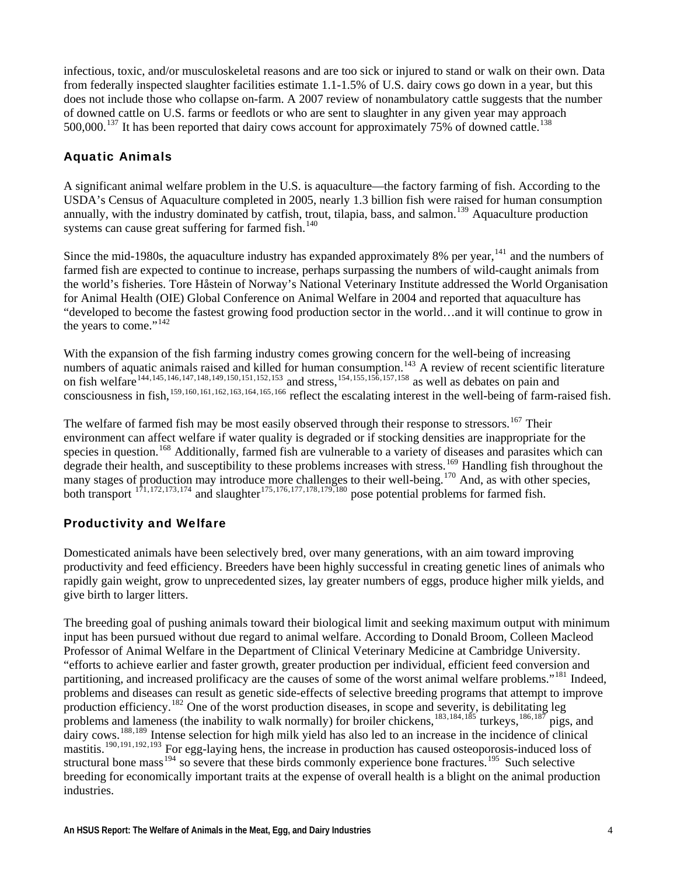[infectious, toxic, and/or musculoskeletal reasons and are too sick or injured to stand or walk on their own. Data](#page-10-0)  [from federally inspected slaughter facilities estimate 1.1-1.5% of U.S. dairy cows go down in a year, but](#page-10-0) this [does not include those who collapse on-farm. A 2007 review of nonambulatory cattle suggests that th](#page-10-0) e number of downed cattle on U.S. farms or feedlots or who are sent to slaughter in any given year may approach  $500,000$ .<sup>137</sup> It has been reported that dairy cows account for approximately 75% of downed cattle.<sup>138</sup>

### Aquatic Animals

A significant animal welfare problem in the U.S. is aquaculture—the factory farming of fish. According to the USDA's Census of Aquaculture completed in 2005, nearly 1.3 billion fish were raised for human consumption annually, with the industry dominated by catfish, trout, tilapia, bass, and salmon.<sup>139</sup> Aquaculture production [s](#page-10-0)ystems can cause great suffering for farmed fish.<sup>[140](#page-10-0)</sup>

[for Animal Health \(OIE](#page-10-0)) Global Conference on Animal Welfare in 2004 and reported that aquaculture has "developed to become the fastest growing food production sector in the world...and it will continue to grow in [Since the mid-1980s, the aquaculture industry has expanded approximately 8% per year,](#page-10-0) $141$  and the numbers of [farmed fish are expected to continue to increase, perhaps surpassing the numbers of wild-caught animals from](#page-10-0) [the world's fisheries. Tore Håstein of Norway's National Veterinary Institute addressed the World Organisation](#page-10-0) [t](#page-10-0)he years to come."<sup>[142](#page-10-0)</sup>

tific literature n fish welfare<sup>144,145,146,147,148,149,150,151,152,153</sup> [and stress,](#page-10-0) <sup>154,155,156,157,158</sup> as well as debates on pain and raised fish. With the expansion of the fish farming industry comes growing concern for the well-being of increasing [numbers of aquatic animals raised and killed for human consumption.](#page-10-0)<sup>143</sup> [A review of recent scien](#page-10-0) on fish welfare<sup>144,145,146,147,148,149,150,151,152,153</sup> and stress,<sup>154,155,156,157,158</sup> as well as debates on pain consciousness in fish,<sup>[159](#page-11-0),[160](#page-11-0),[161](#page-11-0),[162](#page-11-0),[163](#page-11-0),[164](#page-11-0),[165](#page-12-0),[166](#page-12-0)</sup> reflect the escalating interest in the well-being of farm-

species in question.<sup>[168](#page-12-0)</sup> Additionally, farmed fish are vulnerable to a variety of diseases and parasites which can roughout the any stages of production may introduce more challenges to their well-being.  $\frac{1}{10}$  And, as with other species, ghter<sup>175,176,177,178,179,180</sup> pose potential problems for farmed fish. The welfare of farmed fish may be most easily observed through their response to stressors.<sup>[167](#page-12-0)</sup> Their environment can affect welfare if water quality is degraded or if stocking densities are inappropriate for the degrade their health, and susceptibility to these problems increases with stress.<sup>[169](#page-12-0)</sup> Handling fish th many stages of production may introduce more challenges to their well-being.<sup>170</sup> both transport  $1^{71,172,173,174}$  and slau

# Productivity and Welfare

productivity and feed efficiency. Breeders have been highly successful in creating genetic lines of animals who rapidly gain weight, grow to unprecedented sizes, lay greater numbers of eggs, produce higher milk yields, and Domesticated animals have been selectively bred, over many generations, with an aim toward improving give birth to larger litters.

The breeding goal of pushing animals toward their biological limit and seeking maximum output with minimum problems and diseases can result as genetic side-effects of selective breeding programs that attempt to improve dairy cows.<sup>[188](#page-12-0),[189](#page-12-0)</sup> Intense selection for high milk yield has also led to an increase in the incidence of clinical structural bone mass  $194$  so severe that these birds commonly experience bone fractures.  $195$  Such selective breeding for economically important traits at the expense of overall health is a blight on the animal production input has been pursued without due regard to animal welfare. According to Donald Broom, Colleen Macleod Professor of Animal Welfare in the Department of Clinical Veterinary Medicine at Cambridge University. "efforts to achieve earlier and faster growth, greater production per individual, efficient feed conversion and partitioning, and increased prolificacy are the causes of some of the worst animal welfare problems."<sup>[181](#page-12-0)</sup> Indeed, production efficiency.<sup>[182](#page-12-0)</sup> One of the worst production diseases, in scope and severity, is debilitating leg problems and lameness (the inability to walk normally) for broiler chickens,<sup>[183](#page-12-0),[184](#page-12-0),[185](#page-12-0)</sup> turkeys,<sup>[186](#page-12-0),[187](#page-12-0)</sup> pigs, and mastitis.<sup>[190](#page-12-0),[191](#page-12-0),[192](#page-12-0),[193](#page-12-0)</sup> For egg-laying hens, the increase in production has caused osteoporosis-induced loss of industries.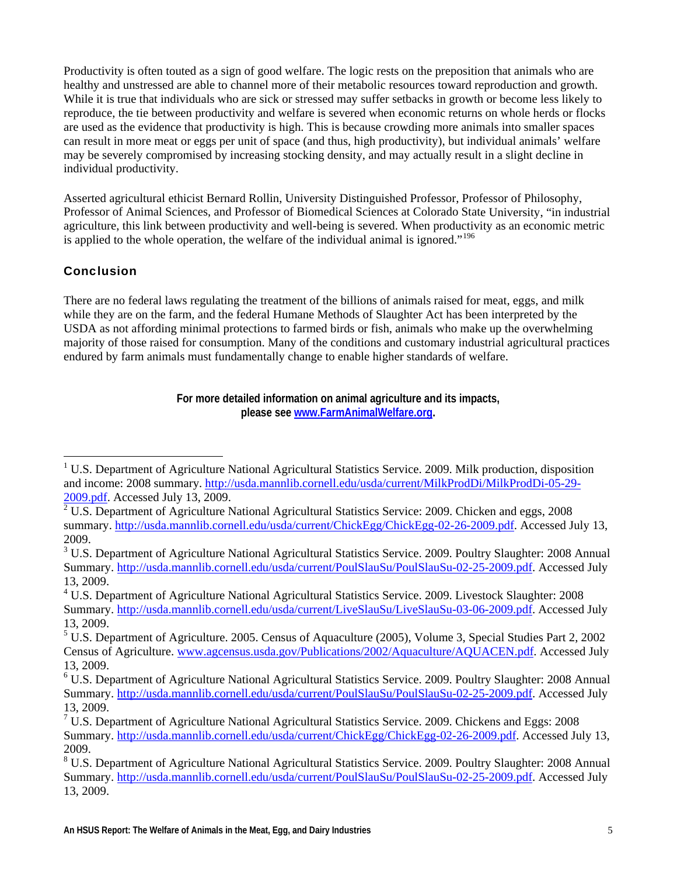<span id="page-4-1"></span>are used as the evidence that productivity is high. This is because crowding more animals into smaller spaces can result in more meat or eggs per unit of space (and thus, high productivity), but individual animals' welfare may be severely compromised by increasing stocking density, and may actually result in a slight decline in Productivity is often touted as a sign of good welfare. The logic rests on the preposition that animals who are healthy and unstressed are able to channel more of their metabolic resources toward reproduction and growth. While it is true that individuals who are sick or stressed may suffer setbacks in growth or become less likely to reproduce, the tie between productivity and welfare is severed when economic returns on whole herds or flocks individual productivity.

Professor of Animal Sciences, and Professor of Biomedical Sciences at Colorado State University, "in industrial agriculture, this link between productivity and well-being is severed. When productivity as an economic metric is applied to the whole operation, the welfare of the individual animal is ignored."<sup>196</sup> Asserted agricultural ethicist Bernard Rollin, University Distinguished Professor, Professor of Philosophy,

# **Conclusion**

<span id="page-4-0"></span> $\overline{a}$ 

USDA as not affording minimal protections to farmed birds or fish, animals who make up the overwhelming majority of those raised for consumption. Many of the conditions and customary industrial agricultural practices endured by farm animals must fundamentally change to enable higher standards of welfare. There are no federal laws regulating the treatment of the billions of animals raised for meat, eggs, and milk while they are on the farm, and the federal Humane Methods of Slaughter Act has been interpreted by the

> **For more detailed information on animal agriculture and its impacts, please see www.FarmAnimalWelfare.org .**

<sup>&</sup>lt;sup>1</sup> U.S. Department of Agriculture National Agricultural Statistics Service. 2009. Milk production, disposition and income: 2008 summary. [http://usda.mannlib.cornell.edu/usda/current/MilkProdDi/MilkProdDi-05-29-](http://usda.mannlib.cornell.edu/usda/current/ChickEgg/ChickEgg-02-26-2009.pdf)

[<sup>2009.</sup>pdf](http://usda.mannlib.cornell.edu/usda/current/ChickEgg/ChickEgg-02-26-2009.pdf). Accessed July 13, 2009.<br><sup>2</sup> U.S. Department of Agriculture National Agricultural Statistics Service: 2009. Chicken and eggs, 2008 summary. [http://usda.mannlib.cornell.edu/usda/current/ChickEgg/ChickEgg-02-26-2009.pdf](http://usda.mannlib.cornell.edu/usda/current/PoulSlauSu/PoulSlauSu-02-25-2009.pdf). Accessed July 13, 2009.

<sup>&</sup>lt;sup>3</sup> U.S. Department of Agriculture National Agricultural Statistics Service. 2009. Poultry Slaughter: 2008 Annual Summary. [http://usda.mannlib.cornell.edu/usda/current/PoulSlauSu/PoulSlauSu-02-25-2009.pdf.](http://usda.mannlib.cornell.edu/usda/current/LiveSlauSu/LiveSlauSu-03-06-2009.pdf) Accessed July 13, 2009.

<sup>&</sup>lt;sup>4</sup> U.S. Department of Agriculture National Agricultural Statistics Service. 2009. Livestock Slaughter: 2008 Summary. [http://usda.mannlib.cornell.edu/usda/current/LiveSlauSu/LiveSlauSu-03-06-2009.pdf.](http://www.agcensus.usda.gov/Publications/2002/Aquaculture/AQUACEN.pdf) Accessed July 13, 2009.

<sup>&</sup>lt;sup>5</sup> U.S. Department of Agriculture. 2005. Census of Aquaculture (2005), Volume 3, Special Studies Part 2, 2002 Census of Agriculture. [www.agcensus.usda.gov/Publications/2002/Aquaculture/AQUACEN.pdf.](http://usda.mannlib.cornell.edu/usda/current/PoulSlauSu/PoulSlauSu-02-25-2009.pdf) Accessed July 13, 2009.

<sup>6</sup> U.S. Department of Agriculture National Agricultural Statistics Service. 2009. Poultry Slaughter: 2008 Annual Summary. [http://usda.mannlib.cornell.edu/usda/current/PoulSlauSu/PoulSlauSu-02-25-2009.pdf.](http://usda.mannlib.cornell.edu/usda/current/ChickEgg/ChickEgg-02-26-2009.pdf) Accessed July 13, 2009.

<sup>&</sup>lt;sup>7</sup> U.S. Department of Agriculture National Agricultural Statistics Service. 2009. Chickens and Eggs: 2008 Summary. [http://usda.mannlib.cornell.edu/usda/current/ChickEgg/ChickEgg-02-26-2009.pdf.](http://usda.mannlib.cornell.edu/usda/current/PoulSlauSu/PoulSlauSu-02-25-2009.pdf) Accessed July 13, 2009.

<sup>&</sup>lt;sup>8</sup> U.S. Department of Agriculture National Agricultural Statistics Service. 2009. Poultry Slaughter: 2008 Annual Summary. [http://usda.mannlib.cornell.edu/usda/current/PoulSlauSu/PoulSlauSu-02-25-2009.pdf.](http://animalscience.ucdavis.edu/Avian/pfs20.htm) Accessed July 13, 2009.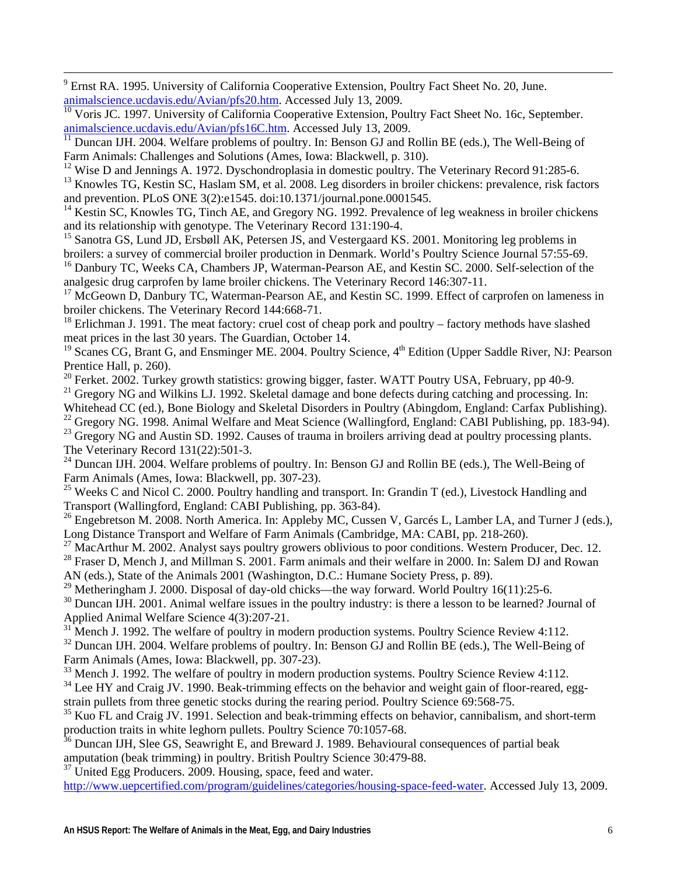<span id="page-5-0"></span>-<br>9 <sup>9</sup> Ernst RA. 1995. University of California Cooperative Extension, Poultry Fact Sheet No. 20, June. [animalscience.ucdavis.edu/Avian/pfs20.htm](http://animalscience.ucdavis.edu/Avian/pfs16C.htm). Accessed July 13, 2009.

<sup>10</sup> Voris JC. 1997. University of California Cooperative Extension, Poultry Fact Sheet No. 16c, September. animalscience.ucdavis.edu/Avian/pfs16C.htm. Accessed July 13, 2009.

 $\frac{11}{11}$  Duncan IJH. 2004. Welfare problems of poultry. In: Benson GJ and Rollin BE (eds.), The Well-Being of Farm Animals: Challenges and Solutions (Ames, Iowa: Blackwell, p. 310).

 $12$  Wise D and Jennings A. 1972. Dyschondroplasia in domestic poultry. The Veterinary Record 91:285-6.

and prevention. PLoS ONE 3(2):e1545. doi:10.1371/journal.pone.0001545. <sup>13</sup> Knowles TG, Kestin SC, Haslam SM, et al. 2008. Leg disorders in broiler chickens: prevalence, risk factors

 $14$  Kestin SC, Knowles TG, Tinch AE, and Gregory NG. 1992. Prevalence of leg weakness in broiler chickens and its relationship with genotype. The Veterinary Record 131:190-4.

broilers: a survey of commercial broiler production in Denmark. World's Poultry Science Journal 57:55-69. <sup>15</sup> Sanotra GS, Lund JD, Ersbøll AK, Petersen JS, and Vestergaard KS. 2001. Monitoring leg problems in

analgesic drug carprofen by lame broiler chickens. The Veterinary Record 146:307-11. <sup>16</sup> Danbury TC, Weeks CA, Chambers JP, Waterman-Pearson AE, and Kestin SC. 2000. Self-selection of the

<sup>17</sup> McGeown D, Danbury TC, Waterman-Pearson AE, and Kestin SC. 1999. Effect of carprofen on lameness in broiler chickens. The Veterinary Record 144:668-71.

meat prices in the last 30 years. The Guardian, October 14.  $18$  Erlichman J. 1991. The meat factory: cruel cost of cheap pork and poultry – factory methods have slashed

<sup>19</sup> Scanes CG, Brant G, and Ensminger ME. 2004. Poultry Science, 4<sup>th</sup> Edition (Upper Saddle River, NJ: Pearson Prentice Hall, p. 260).

<sup>20</sup> Ferket. 2002. Turkey growth statistics: growing bigger, faster. WATT Poutry USA, February, pp 40-9.

 $21$  Gregory NG and Wilkins LJ. 1992. Skeletal damage and bone defects during catching and processing. In:

Whitehead CC (ed.), Bone Biology and Skeletal Disorders in Poultry (Abingdom, England: Carfax Publishing).

 $^{22}$  Gregory NG. 1998. Animal Welfare and Meat Science (Wallingford, England: CABI Publishing, pp. 183-94).

<sup>23</sup> Gregory NG and Austin SD. 1992. Causes of trauma in broilers arriving dead at poultry processing plants. The Veterinary Record 131(22):501-3.

<sup>24</sup> Duncan IJH. 2004. Welfare problems of poultry. In: Benson GJ and Rollin BE (eds.), The Well-Being of Farm Animals (Ames, Iowa: Blackwell, pp. 307-23).

<sup>25</sup> Weeks C and Nicol C. 2000. Poultry handling and transport. In: Grandin T (ed.), Livestock Handling and Transport (Wallingford, England: CABI Publishing, pp. 363-84).

<sup>26</sup> Engebretson M. 2008. North America. In: Appleby MC, Cussen V, Garcés L, Lamber LA, and Turner J (eds.), Long Distance Transport and Welfare of Farm Animals (Cambridge, MA: CABI, pp. 218-260).

<sup>27</sup> MacArthur M. 2002. Analyst says poultry growers oblivious to poor conditions. Western Producer, Dec. 12.

<sup>28</sup> Fraser D, Mench J, and Millman S. 2001. Farm animals and their welfare in 2000. In: Salem DJ and Rowan AN (eds.), State of the Animals 2001 (Washington, D.C.: Humane Society Press, p. 89).

<sup>29</sup> Metheringham J. 2000. Disposal of day-old chicks—the way forward. World Poultry 16(11):25-6.

 $30$  Duncan IJH. 2001. Animal welfare issues in the poultry industry: is there a lesson to be learned? Journal of Applied Animal Welfare Science 4(3):207-21.

 $31$  Mench J. 1992. The welfare of poultry in modern production systems. Poultry Science Review 4:112.

 $32$  Duncan IJH. 2004. Welfare problems of poultry. In: Benson GJ and Rollin BE (eds.), The Well-Being of Farm Animals (Ames, Iowa: Blackwell, pp. 307-23).

 $33$  Mench J. 1992. The welfare of poultry in modern production systems. Poultry Science Review 4:112.

strain pullets from three genetic stocks during the rearing period. Poultry Science 69:568-75. <sup>34</sup> Lee HY and Craig JV. 1990. Beak-trimming effects on the behavior and weight gain of floor-reared, egg-

<sup>35</sup> Kuo FL and Craig JV. 1991. Selection and beak-trimming effects on behavior, cannibalism, and short-term production traits in white leghorn pullets. Poultry Science 70:1057-68.

vioural consequences of partial beak  $36$  Duncan IJH, Slee GS, Seawright E, and Breward J. 1989. Beha amputation (beak trimming) in poultry. British Poultry Science 30:479-88.

 $37$  United Egg Producers. 2009. Housing, space, feed and water.

http://www.uepcertified.com/program/guidelines/categories/housing-space-feed-water. Accessed July 13, 2009.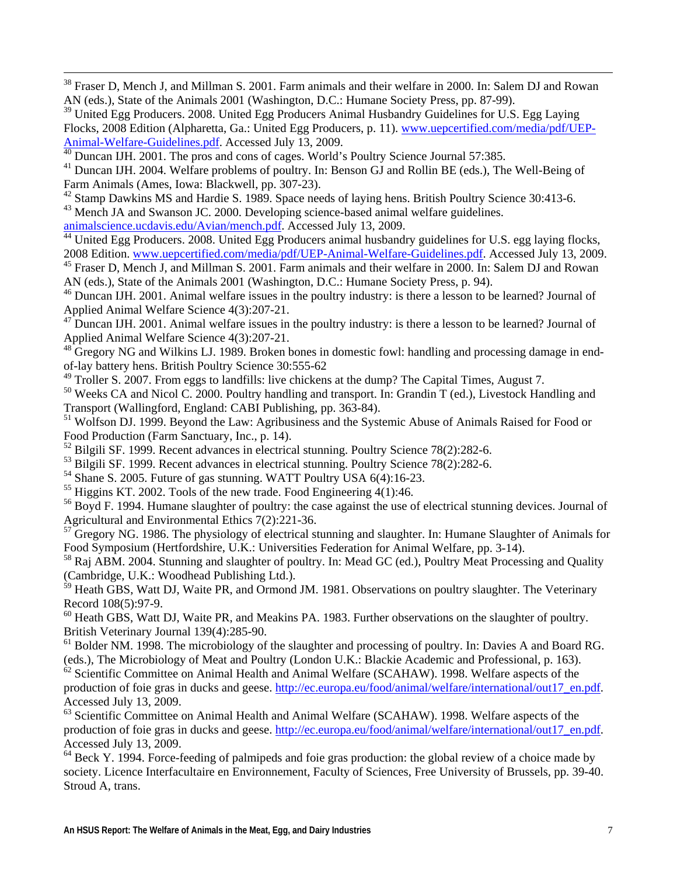<sup>38</sup> Fraser D, Mench J, and Millman S. 2001. Farm animals and their welfare in 2000. In: Salem DJ and Rowan AN (eds.), State of the Animals 2001 (Washington, D.C.: Humane Society Press, pp. 87-99).

<sup>39</sup> United Egg Producers. 2008. United Egg Producers Animal Husbandry Guidelines for U.S. Egg Laying Flocks, 2008 Edition (Alpharetta, Ga.: United Egg Producers, p. 11). www.uepcertified.com/media/pdf/UEP-Animal-Welfare-Guidelines.pdf. Accessed July 13, 2009.

<sup>40</sup> Duncan IJH. 2001. The pros and cons of cages. World's Poultry Science Journal 57:385.

<sup>41</sup> Duncan IJH. 2004. Welfare problems of poultry. In: Benson GJ and Rollin BE (eds.), The Well-Being of Farm Animals (Ames, Iowa: Blackwell, pp. 307-23).

 $42$  Stamp Dawkins MS and Hardie S. 1989. Space needs of laying hens. British Poultry Science 30:413-6. <sup>43</sup> Mench JA and Swanson JC. 2000. Developing science-based animal welfare guidelines.

[animalscience.ucdavis.edu/Avian/mench.pdf.](http://www.uepcertified.com/media/pdf/UEP-Animal-Welfare-Guidelines.pdf) Accessed July 13, 2009.

<span id="page-6-0"></span> $\overline{a}$ 

<sup>44</sup> United Egg Producers. 2008. United Egg Producers animal husbandry guidelines for U.S. egg laying flocks, 2008 Edition. www.uepcertified.com/media/pdf/UEP-Animal-Welfare-Guidelines.pdf. Accessed July 13, 2009.

AN (eds.), State of the Animals 2001 (Washington, D.C.: Humane Society Press, p. 94). <sup>45</sup> Fraser D, Mench J, and Millman S. 2001. Farm animals and their welfare in 2000. In: Salem DJ and Rowan

46 Duncan IJH. 2001. Animal welfare issues in the poultry industry: is there a lesson to be learned? Journal of Applied Animal Welfare Science 4(3):207-21.

 $47$  Duncan IJH. 2001. Animal welfare issues in the poultry industry: is there a lesson to be learned? Journal of Applied Animal Welfare Science 4(3):207-21.

 $48$  Gregory NG and Wilkins LJ. 1989. Broken bones in domestic fowl: handling and processing damage in endof-lay battery hens. British Poultry Science 30:555-62

 $49$  Troller S. 2007. From eggs to landfills: live chickens at the dump? The Capital Times, August 7.

Transport (Wallingford, England: CABI Publishing, pp. 363-84). <sup>50</sup> Weeks CA and Nicol C. 2000. Poultry handling and transport. In: Grandin T (ed.), Livestock Handling and

<sup>51</sup> Wolfson DJ. 1999. Beyond the Law: Agribusiness and the Systemic Abuse of Animals Raised for Food or Food Production (Farm Sanctuary, Inc., p. 14).

 $52$  Bilgili SF. 1999. Recent advances in electrical stunning. Poultry Science 78(2):282-6.

 $53$  Bilgili SF. 1999. Recent advances in electrical stunning. Poultry Science 78(2):282-6.

<sup>54</sup> Shane S. 2005. Future of gas stunning. WATT Poultry USA 6(4):16-23.

 $<sup>55</sup>$  Higgins KT. 2002. Tools of the new trade. Food Engineering 4(1):46.</sup>

<sup>56</sup> Boyd F. 1994. Humane slaughter of poultry: the case against the use of electrical stunning devices. Journal of Agricultural and Environmental Ethics 7(2):221-36.

Food Symposium (Hertfordshire, U.K.: Universities Federation for Animal Welfare, pp. 3-14).  $57$  Gregory NG. 1986. The physiology of electrical stunning and slaughter. In: Humane Slaughter of Animals for

(Cambridge, U.K.: Woodhead Publishing Ltd.). 58 Raj ABM. 2004. Stunning and slaughter of poultry. In: Mead GC (ed.), Poultry Meat Processing and Quality

<sup>59</sup> Heath GBS, Watt DJ, Waite PR, and Ormond JM. 1981. Observations on poultry slaughter. The Veterinary Record 108(5):97-9.

<sup>60</sup> Heath GBS, Watt DJ, Waite PR, and Meakins PA. 1983. Further observations on the slaughter of poultry. British Veterinary Journal 139(4):285-90.

 $61$  Bolder NM. 1998. The microbiology of the slaughter and processing of poultry. In: Davies A and Board RG. (eds.), The Microbiology of Meat and Poultry (London U.K.: Blackie Academic and Professional, p. 163).

n Animal Health and Animal Welfare (SCAHAW). 1998. Welfare aspects of the production of foie gras in ducks and geese. [http://ec.europa.eu/food/animal/welfare/international/out17\\_en.](http://ec.europa.eu/food/animal/welfare/international/out17_en.pdf)pdf. <sup>62</sup> Scientific Committee o [Accessed July 13, 2009.](http://ec.europa.eu/food/animal/welfare/international/out17_en.pdf) 

 $63$  Scientific Committee on Animal Health and Animal Welfare (SCAHAW). 1998. Welfare aspects of the production of foie gras in ducks and geese. http://ec.europa.eu/food/animal/welfare/international/out17\_en.pdf. Accessed July 13, 2009.

 $64$  Beck Y. 1994. Force-feeding of palmipeds and foie gras production: the global review of a choice made by society. Licence Interfacultaire en Environnement, Faculty of Sciences, Free University of Brussels, pp. 39-40. Stroud A, trans.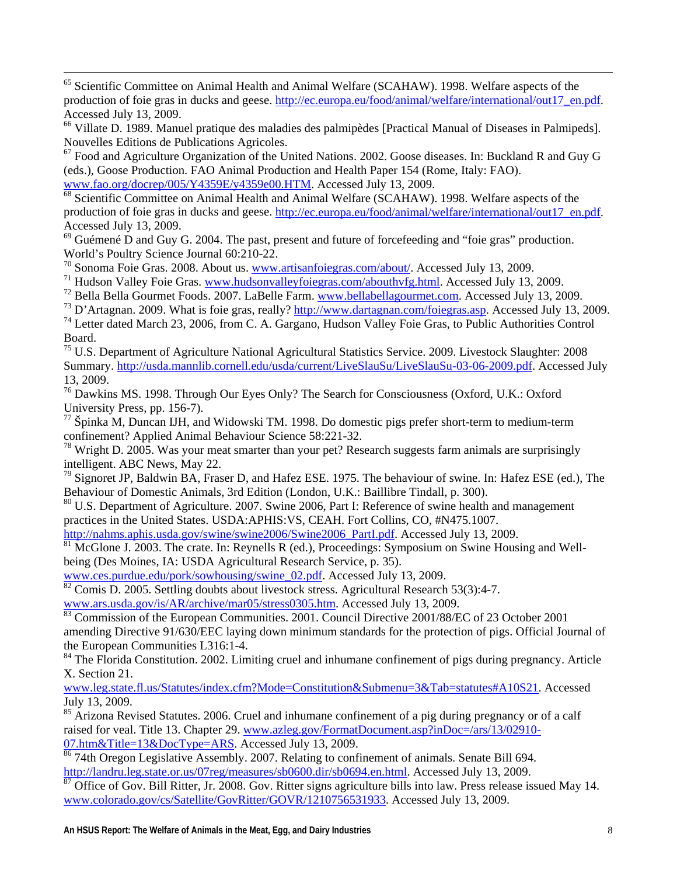production of foie gras in ducks and geese. http://ec.europa.eu/food/animal/welfare/international/out17\_en.pdf. <sup>65</sup> Scientific Committee on Animal Health and Animal Welfare (SCAHAW). 1998. Welfare aspects of the Accessed July 13, 2009.

<sup>66</sup> Villate D. 1989. Manuel pratique des maladies des palmipèdes [Practical Manual of Diseases in Palmipeds]. Nouvelles Editions de Publications Agricoles.

 $67$  Food and Agriculture Organization of the United Nations. 2002. Goose diseases. In: Buckland R and Guy G [www.fao.org/docrep/005](http://ec.europa.eu/food/animal/welfare/international/out17_en.pdf)/Y4359E/y4359e00.HTM. Accessed July 13, 2009. (eds.), Goose Production. FAO Animal Production and Health Paper 154 (Rome, Italy: FAO).

production of foie gras in ducks and geese. http://ec.europa.eu/food/animal/welfare/international/out17\_en.pdf. <sup>68</sup> Scientific Committee on Animal Health and Animal Welfare (SCAHAW). 1998. Welfare aspects of the Accessed July 13, 2009.

 $69$  Guémené D and Guy G. 2004. The past, present and future of forcefeeding and "foie gras" production. World's Poultry Science Journal 60:210-22.

70 Sonoma Foie Gras. 2008. About us. [www.artisanfoiegras.com/about/](http://www.dartagnan.com/foiegras.asp). Accessed July 13, 2009.

<span id="page-7-0"></span> $\overline{a}$ 

<sup>71</sup> Hudson Valley Foie Gras. www.hudsonvalleyfoiegras.com/abouthvfg.html. Accessed July 13, 2009.

72 Bella Bella Gourmet Foods. 2007. LaBelle Farm. www.bellabellagourmet.com. Accessed July 13, 2009.

<sup>73</sup> D'Artagnan. 2009. What is foie gras, really? [http://www.dartagnan.com/foiegras.asp.](http://usda.mannlib.cornell.edu/usda/current/LiveSlauSu/LiveSlauSu-03-06-2009.pdf) Accessed July 13, 2009.

<sup>74</sup> Letter dated March 23, 2006, from C. A. Gargano, Hudson Valley Foie Gras, to Public Authorities Control Board.

<sup>75</sup> U.S. Department of Agriculture National Agricultural Statistics Service. 2009. Livestock Slaughter: 2008 Summary. http://usda.mannlib.cornell.edu/usda/current/LiveSlauSu/LiveSlauSu-03-06-2009.pdf. Accessed July 13, 2009.

 $76$  Dawkins MS. 1998. Through Our Eyes Only? The Search for Consciousness (Oxford, U.K.: Oxford University Press, pp. 156-7).

 $\frac{77}{7}$  Špinka M, Duncan IJH, and Widowski TM. 1998. Do domestic pigs prefer short-term to medium-term confinement? Applied Animal Behaviour Science 58:221-32.

<sup>78</sup> Wright D. 2005. Was your meat smarter than your pet? Research suggests farm animals are surprisingly intelligent. ABC News, May 22.

 $^{79}$  Signoret JP, Baldwin BA, Fraser D, and Hafez ESE. 1975. The behaviour of swine. In: Hafez ESE (ed.), The Behaviour of Domestic Animals, 3rd Edition (London, U.K.: Baillibre Tindall, p. 300).

practices in the United States. USDA:APHIS:VS, CEAH. Fort Collins, CO, #N475.1007. <sup>80</sup> U.S. Department of Agriculture. 2007. Swine 2006, Part I: Reference of swine health and management

http://nahms.aphis.usda.gov/swine/swine2006/Swine2006\_PartLpdf. Accessed July 13, 2009.

 $81$  McGlone J. 2003. The crate. In: Reynells R (ed.), Proceedings: Symposium on Swine Housing and Wellbeing (Des Moines, IA: USDA Agricultural Research Service, p. 35).

www.ces.purdue.edu/pork/sowhousing/swine\_02.pdf. Accessed July 13, 2009.

 $\frac{82}{82}$  Comis D. 2005. Settling doubts about livestock stress. Agricultural Research 53(3):4-7.

www.ars.usda.gov/is/AR/archive/mar05/stress0305.htm. Accessed July 13, 2009.

amending Directive 91/630/EEC laying down minimum standards for the protection of pigs. Official Journal of 83 Commission of the European Communities. 2001. Council Directive 2001/88/EC of 23 October 2001 the European Communities L316:1-4.

<sup>84</sup> The Florida Constitution. 2002. Limiting cruel and inhumane confinement of pigs during pregnancy. Article X. Section 21.

[www.leg.state.fl.us/Statutes/index.cfm?Mode=Constitution&Submenu=3&Tab=statutes#A10S21](http://www.azleg.gov/FormatDocument.asp?inDoc=/ars/13/02910-07.htm&Title=13&DocType=ARS). Accessed July 13, 2009.

 $85$  Arizona Revised Statutes. 2006. Cruel and inhumane confinement of a pig during pregnancy or of a calf raised for veal. Title 13. Chapter 29. [www.azleg.gov/FormatDocument.asp?inDoc=/ars/13/02910-](http://landru.leg.state.or.us/07reg/measures/sb0600.dir/sb0694.en.html) 07.htm&Title=13&DocType=ARS[. Accessed July 13, 2009.](http://www.colorado.gov/cs/Satellite/GovRitter/GOVR/1210756531933) 

<sup>86</sup> 74th Oregon Legislative Assembly. 2007. Relating to confinement of animals. Senate Bill 694. [http://landru.leg.state.or.us/07reg/measures/sb0600.dir/sb0694.en.html](http://www.prnewswire.com/cgi-bin/stories.pl?ACCT=104&STORY=/www/story/01-25-2007/0004512926&EDATE). Accessed July 13, 2009.

 $\frac{87}{100}$  Office of Gov. Bill Ritter, Jr. 2008. Gov. Ritter signs agriculture bills into law. Press release issued May 14. [www.colorado.gov/cs/Satellite/GovRitter/GOVR/12107](http://www.prnewswire.com/cgi-bin/stories.pl?ACCT=104&STORY=/www/story/01-25-2007/0004512926&EDATE)56531933. Accessed July 13, 2009.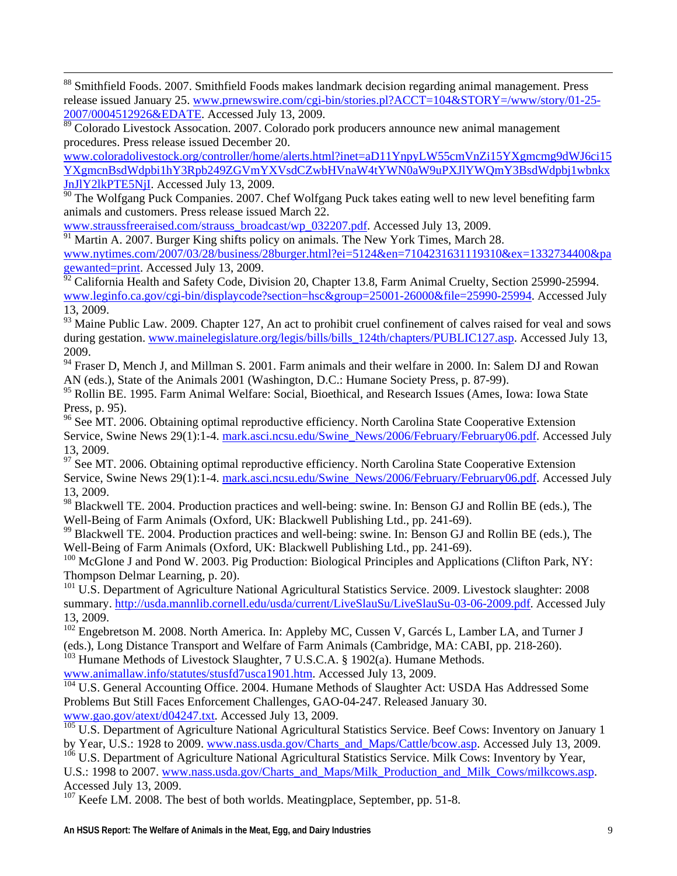88 Smithfield Foods. 2007. Smithfield Foods makes landmark decision regarding animal management. Press release issued January 25. [www.prnewswire.com](http://www.coloradolivestock.org/controller/home/alerts.html?inet=aD11YnpyLW55cmVnZi15YXgmcmg9dWJ6ci15YXgmcnBsdWdpbi1hY3Rpb249ZGVmYXVsdCZwbHVnaW4tYWN0aW9uPXJlYWQmY3BsdWdpbj1wbnkxJnJlY2lkPTE5NjI)/cgi-bin/stories.pl?ACCT=104&STORY=/www/story/01-25-[2007/0004512926&EDATE](http://www.coloradolivestock.org/controller/home/alerts.html?inet=aD11YnpyLW55cmVnZi15YXgmcmg9dWJ6ci15YXgmcnBsdWdpbi1hY3Rpb249ZGVmYXVsdCZwbHVnaW4tYWN0aW9uPXJlYWQmY3BsdWdpbj1wbnkxJnJlY2lkPTE5NjI). Accessed July 13, 2009.

<sup>89</sup> Colorado Livestock Assocation. 2007. Colorado pork producers announce new animal management procedures. Press release issued December 20.

[www.coloradolivestock.org/controller/home/alerts.html?inet=aD11YnpyLW55cmVnZi15YXgmcmg9dWJ6ci1](http://www.straussfreeraised.com/strauss_broadcast/wp_032207.pdf)5 [YXgmcnBsdWdpbi1hY3Rpb249ZGVmYXVsdCZwbH](http://www.straussfreeraised.com/strauss_broadcast/wp_032207.pdf)VnaW4tYWN0aW9uPXJlYWQmY3BsdWdpbj1wbnkx [JnJlY2lkPTE5NjI](http://www.straussfreeraised.com/strauss_broadcast/wp_032207.pdf). Accessed July 13, 2009.

<sup>90</sup> The Wolfgang Puck Companies. 2007. Chef Wolfgang Puck takes eating well to new level benefiting farm animals and customers. Press release issued March 22.

[www.straussfreeraised.com/strauss\\_broadca](http://www.nytimes.com/2007/03/28/business/28burger.html?ei=5124&en=7104231631119310&ex=1332734400&pagewanted=print)st/wp\_032207.pdf. Accessed July 13, 2009.

<span id="page-8-0"></span> $\overline{a}$ 

 $\frac{91}{91}$  Martin A. 2007. Burger King shifts policy on animals. The New York Times, March 28.

[www.nytimes.com/2007/03/28/business/28burger.html?ei=5124&en=7104231631119310&ex=1332734400&pa](http://www.leginfo.ca.gov/cgi-bin/displaycode?section=hsc&group=25001-26000&file=25990-25994) [gewanted=p](http://www.leginfo.ca.gov/cgi-bin/displaycode?section=hsc&group=25001-26000&file=25990-25994)rint. Accessed July 13, 2009.

 $^{52}$  California Health and Safety Code, Division 20, Chapter 13.8, Farm Animal Cruelty, Section 25990-25994. [www.leginfo.ca.gov/cgi-bin/displaycode?section=hsc&group=25001-26000&file=25990-25994.](http://www.mainelegislature.org/legis/bills/bills_124th/chapters/PUBLIC127.asp) Accessed July 13, 2009.

 $93$  Maine Public Law. 2009. Chapter 127, An act to prohibit cruel confinement of calves raised for veal and sows during gestation. www.mainelegislature.org/legis/bills/bills\_124th/chapters/PUBLIC127.asp. Accessed July 13, 2009.

<sup>94</sup> Fraser D, Mench J, and Millman S. 2001. Farm animals and their welfare in 2000. In: Salem DJ and Rowan AN (eds.), State of the Animals 2001 (Washington, D.C.: Humane Society Press, p. 87-99).

Press, p. 95). <sup>95</sup> Rollin BE. 1995. Farm Animal Welfare: Social, Bioethical, and Research Issues (Ames, Iowa: Iowa State

<sup>96</sup> See MT. 2006. Obtaining optimal reproductive efficiency. North Carolina State Cooperative Extension Service, Swine News 29(1):1-4. [mark.asci.ncsu.edu/Swine\\_News/2006/February/February06.pdf](http://mark.asci.ncsu.edu/Swine_News/2006/February/February06.pdf). Accessed July 13, 2009.

 $97$  See MT. 2006. Obtaining optimal reproductive efficiency. North Carolina State Cooperative Extension Service, Swine News 29(1):1-4. mark.asci.ncsu.edu/Swine\_News/2006/February/February06.pdf. Accessed July 13, 2009.

<sup>98</sup> Blackwell TE. 2004. Production practices and well-being: swine. In: Benson GJ and Rollin BE (eds.), The Well-Being of Farm Animals (Oxford, UK: Blackwell Publishing Ltd., pp. 241-69).

<sup>99</sup> Blackwell TE. 2004. Production practices and well-being: swine. In: Benson GJ and Rollin BE (eds.), The Well-Being of Farm Animals (Oxford, UK: Blackwell Publishing Ltd., pp. 241-69).

Thompson Delmar Learning, p. 20). <sup>100</sup> McGlone J and Pond W. 2003. Pig Production: Biological Principles and Applications (Clifton Park, NY:

<sup>101</sup> U.S. Department of Agriculture National Agricultural Statistics Service. 2009. Livestock slaughter: 2008 summary. http://usda.mannlib.cornell.edu/usda/current/LiveSlauSu/LiveSlauSu-03-06-2009.pdf. Accessed July 13, 2009.

<sup>102</sup> Engebretson M. 2008. North America. In: Appleby MC, Cussen V, Garcés L, Lamber LA, and Turner J (eds.), Long Distance Transport and Welfare of Farm Animals (Cambridge, MA: CABI, pp. 218-260).

<sup>103</sup> Humane Methods of Livestock Slaughter, 7 U.S.C.A. § 1902(a). Humane Methods.

[www.animallaw.info/statutes/stusfd7usca1901.htm.](http://www.gao.gov/atext/d04247.txt) Accessed July 13, 2009.

<sup>104</sup> U.S. General Accounting Office. 2004. Humane Methods of Slaughter Act: USDA Has Addressed Some Problems But Still Faces Enforcement Challenges, GAO-04-247. Released January 30. [www.gao.gov/atext/d04247.txt](http://www.nass.usda.gov/Charts_and_Maps/Milk_Production_and_Milk_Cows/milkcows.asp). Accessed July 13, 2009.

<sup>105</sup> U.S. Department of Agriculture National Agricultural Statistics Service. Beef Cows: Inventory on January 1 by Year, U.S.: 1928 to 2009. www.nass.usda.gov/Charts\_and\_Maps/Cattle/bcow.asp. Accessed July 13, 2009.

 $106$  U.S. Department of Agriculture National Agricultural Statistics Service. Milk Cows: Inventory by Year, U.S.: 1998 to 2007. [www.nass.usda.gov/Charts\\_and\\_Maps/Milk\\_Production\\_and\\_Milk\\_Cows/milkcows.asp.](http://ars.sdstate.edu/animaliss/beef.html) Accessed July 13, 2009.

 $107$  Keefe LM. 2008. The best of both worlds. Meatingplace, September, pp. 51-8.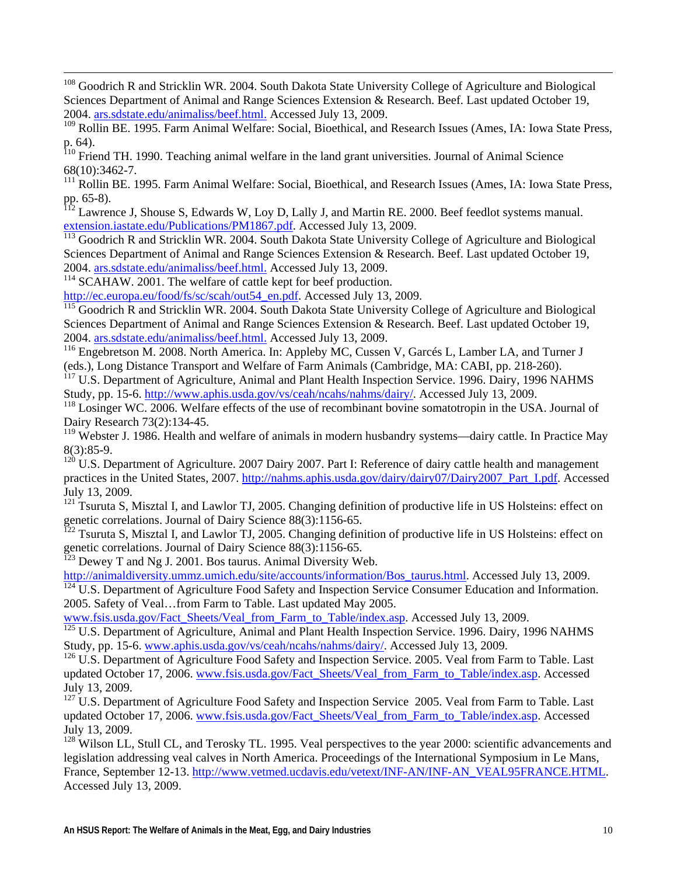Sciences Department of Animal and Range Sciences Extension & Research. Beef. Last updated October 19, <sup>108</sup> Goodrich R and Stricklin WR. 2004. South Dakota State University College of Agriculture and Biological 2004. ars.sdstate.edu/animaliss/beef.html. Accessed July 13, 2009.

<sup>109</sup> Rollin BE. 1995. Farm Animal Welfare: Social, Bioethical, and Research Issues (Ames, IA: Iowa State Press, p. 64).

H. 1990. Teaching animal welfare in the land grant universities. Journal of Animal Science  $110$  Friend T 68(10):3462-7.

 $111$  Rollin BE. 1995. Farm Animal Welfare: Social, Bioethical, and Research Issues (Ames, IA: Iowa State Press, pp. 65-8).

<sup>112</sup> Lawrence J, Shouse S, Edwards W, Loy D, Lally J, and Martin RE. 2000. Beef feedlot systems manual. [extension.iastate.edu/Publications/PM1867.pdf](http://ars.sdstate.edu/animaliss/beef.html). Accessed July 13, 2009.

<sup>113</sup> Goodrich R and Stricklin WR. 2004. South Dakota State University College of Agriculture and Biological Sciences Department of Animal and Range Sciences Extension & Research . Beef. Last updated October 19, 2004. [ars.sdstate.edu/animaliss/beef.html.](http://ars.sdstate.edu/animaliss/beef.html) Accessed July 13, 2009.

<sup>114</sup> SCAHAW. 2001. The welfare of cattle kept for beef production.

<span id="page-9-0"></span> $\overline{a}$ 

[http://ec.europa.eu/food/fs/sc/scah/out54\\_en.pdf.](http://ars.sdstate.edu/animaliss/beef.html) Accessed July 13, 2009.

 $115$  Goodrich R and Stricklin WR. 2004. South Dakota State University College of Agriculture and Biological Sciences Department of Animal and Range Sciences Extension & Research. Beef. Last updated October 19, 2004. [ars.sdstate.edu/animaliss/beef.html.](http://www.aphis.usda.gov/vs/ceah/ncahs/nahms/dairy/) Accessed July 13, 2009.

<sup>116</sup> Engebretson M. 2008. North America. In: Appleby MC, Cussen V, Garcés L, Lamber LA, and Turner J (eds.), Long Distance Transport and Welfare of Farm Animals (Cambridge, MA: CABI, pp. 218-260).

<sup>117</sup> U.S. Department of Agriculture, Animal and Plant Health Inspection Service. 1996. Dairy, 1996 NAHMS Study, pp. 15-6. http://www.aphis.usda.gov/vs/ceah/ncahs/nahms/dairy/. Accessed July 13, 2009.

<sup>118</sup> Losinger WC. 2006. Welfare effects of the use of recombinant bovine somatotropin in the USA. Journal of Dairy Research 73(2):134-45.

<sup>119</sup> Webster J. 1986. Health and welfare of animals in modern husbandry systems—dairy cattle. In Practice May 8(3):85-9.

practices in the United States, 2007. http://nahms.aphis.usda.gov/dairy/dairy07/Dairy2007\_Part\_I.pdf. Accessed  $120$  U.S. Department of Agriculture. 2007 Dairy 2007. Part I: Reference of dairy cattle health and management July 13, 2009.

 $121$  Tsuruta S, Misztal I, and Lawlor TJ, 2005. Changing definition of productive life in US Holsteins: effect on genetic correlations. Journal of Dairy Science 88(3):1156-65.

n  $^{122}$  Tsuruta S, Misztal I, and Lawlor TJ, 2005. Changing definition of productive life in US Holsteins: effect o genetic correlations. Journal of Dairy Science 88(3):1156-65.

 $123$  Dewey T and Ng J. 2001. Bos taurus. Animal Diversity Web.

[http://animaldiversity.ummz.umich.edu/site/accounts/information/Bos\\_taurus.html.](http://www.fsis.usda.gov/Fact_Sheets/Veal_from_Farm_to_Table/index.asp) Accessed July 13, 2009.

<sup>124</sup> U.S. Department of Agriculture Food Safety and Inspection Service Consumer Education and Information. 2005. Safety of Veal…from Farm to Table. Last updated May 2005.

[www.fsis.usda.gov/Fact\\_Sheets/Veal\\_from\\_Farm\\_to\\_Table/index.asp.](http://www.fsis.usda.gov/Fact_Sheets/Veal_from_Farm_to_Table/index.asp) Accessed July 13, 2009.

<sup>125</sup> U.S. Department of Agriculture, Animal and Plant Health Inspection Service. 1996. Dairy, 1996 NAHMS Study, pp. 15-6. www.aphis.usda.gov/vs/ceah/ncahs/nahms/dairy/. Accessed July 13, 2009.

<sup>126</sup> U.S. Department of Agriculture Food Safety and Inspection Service. 2005. Veal from Farm to Table. Last updated October 17, 2006. [www.fsis.usda.gov/Fact\\_Sheets/Veal\\_from\\_Farm\\_to\\_Table/index.asp](http://www.fsis.usda.gov/Fact_Sheets/Veal_from_Farm_to_Table/index.asp). Accessed July 13, 2009.

 $127$  U.S. Department of Agriculture Food Safety and Inspection Service 2005. Veal from Farm to Table. Last updated October 17, 2006. [www.fsis.usda.gov/Fact\\_Sheets/Veal\\_from\\_Farm\\_to\\_Table/index.asp](http://www.vetmed.ucdavis.edu/vetext/INF-AN/INF-AN_VEAL95FRANCE.HTML). Accessed July 13, 2009.

 $128$  Wilson LL, Stull CL, and Terosky TL. 1995. Veal perspectives to the year 2000: scientific advancements and legislation addressing veal calves in North America. Proceedings of the International Symposium in Le Mans, France, September 12-13. [http://www.vetmed.ucdavis.edu/vetext/INF-AN/INF-AN\\_VEAL95FRANCE.HTM](http://www.publications.parliament.uk/pa/cm200304/cmhansrd/vo040505/text/40505w04.htm)L. [Accesse](http://www.publications.parliament.uk/pa/cm200304/cmhansrd/vo040505/text/40505w04.htm)d July 13, 2009.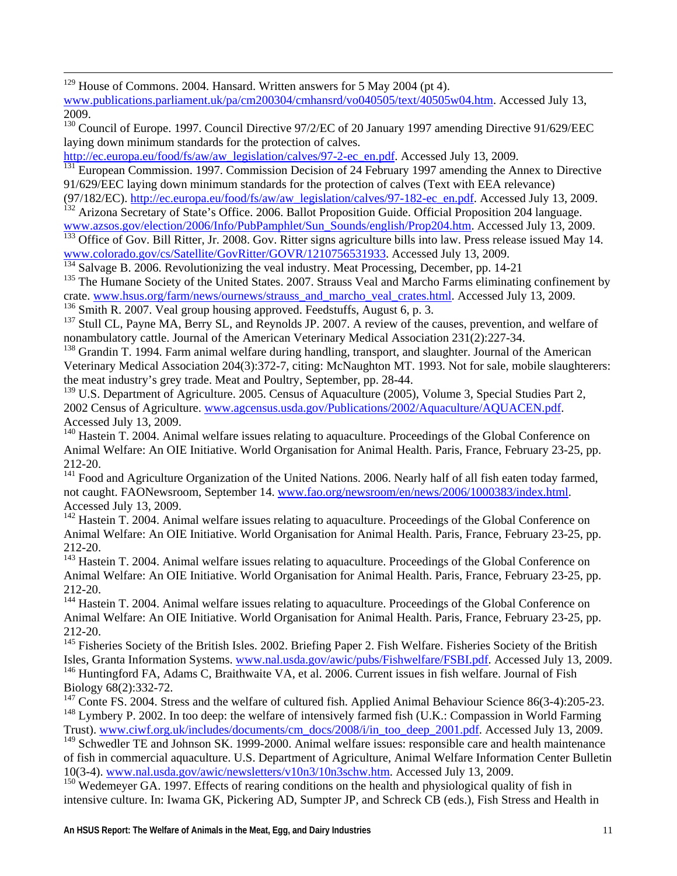<span id="page-10-0"></span><sup>129</sup> House of Commons. 2004. Hansard. Written answers for 5 May 2004 (pt 4).

[www.publications.parliament.uk/pa/cm200304/cmhansrd/vo040505/text/40505w04.htm](http://ec.europa.eu/food/fs/aw/aw_legislation/calves/97-2-ec_en.pdf). Accessed July 13, [2009.](http://ec.europa.eu/food/fs/aw/aw_legislation/calves/97-2-ec_en.pdf) 

<sup>130</sup> Council of Europe. 1997. Council Directive 97/2/EC of 20 January 1997 amending Directive 91/629/EEC laying down minimum standards for the protection of calves.

[http://ec.europa.eu/food/fs/aw/aw\\_legislation/calves/97-2-ec\\_en.pdf](http://ec.europa.eu/food/fs/aw/aw_legislation/calves/97-182-ec_en.pdf). Accessed July 13, 2009.

<sup>131</sup> European Commission. 1997. Commission Decision of 24 February 1997 amending the Annex to Directive 91/629/EEC laying down minimum standards for the protection of calves (Text with EEA relevance)

(97/182/EC). [http://ec.europa.eu/food/fs/aw/aw\\_legislation/calves/97-182-ec\\_en.pdf.](http://www.colorado.gov/cs/Satellite/GovRitter/GOVR/1210756531933) Accessed July 13, 2009. <sup>132</sup> Arizona Secretary of State's Office. 2006. Ballot Proposition Guide. Official Proposition 204 language. www.azsos.gov/election/2006/Info/PubPamphlet/Sun\_Sounds/english/Prop204.htm. Accessed July 13, 2009.

<sup>133</sup> Office of Gov. Bill Ritter, Jr. 2008. Gov. Ritter signs agriculture bills into law. Press release issued May 14. [www.colorado.gov/cs/Satellite/GovRitter/GOVR/1210756531933](http://www.hsus.org/farm/news/ournews/strauss_and_marcho_veal_crates.html). Accessed July 13, 2009.

<sup>134</sup> Salvage B. 2006. Revolutionizing the veal industry. Meat Processing, December, pp. 14-21

<sup>135</sup> The Humane Society of the United States. 2007. Strauss Veal and Marcho Farms eliminating confinement by crate. www.hsus.org/farm/news/ournews/strauss\_and\_marcho\_veal\_crates.html. Accessed July 13, 2009. <sup>136</sup> Smith R. 2007. Veal group housing approved. Feedstuffs, August 6, p. 3.

<sup>137</sup> Stull CL, Payne MA, Berry SL, and Reynolds JP. 2007. A review of the causes, prevention, and welfare of

nonambulatory cattle. Journal of the American Veterinary Medical Association 231(2):227-34.

Veterinary Medical Association 204(3):372-7, citing: McNaughton MT. 1993. Not for sale, mobile slaughterers: the meat industry's grey trade. Meat and Poultry, September, pp. 28-44. <sup>138</sup> Grandin T. 1994. Farm animal welfare during handling, transport, and slaughter. Journal of the American

<sup>139</sup> U.S. Department of Agriculture. 2005. Census of Aquaculture (2005), Volume 3, Special Studies Part 2, 2002 Census of Agriculture. www.agcensus.usda.gov/Publications/2002/Aquaculture/AQUACEN.pdf. Accessed July 13, 2009.

Animal Welfare: An OIE Initiative. World Organisation for Animal Health. Paris, France, February 23-25, pp.  $140$  Hastein T. 2004. Animal welfare issues relating to aquaculture. Proceedings of the Global Conference on 212-20.

<sup>141</sup> Food and Agriculture Organization of the United Nations. 2006. Nearly half of all fish eaten today farmed, not caught. FAONewsroom, September 14. www.fao.org/newsroom/en/news/2006/1000383/index.html. Accessed July 13, 2009.

<sup>142</sup> Hastein T. 2004. Animal welfare issues relating to aquaculture. Proceedings of the Global Conference on Animal Welfare: An OIE Initiative. World Organisation for Animal Health. Paris, France, February 23-25, pp. 212-20.

<sup>143</sup> Hastein T. 2004. Animal welfare issues relating to aquaculture. Proceedings of the Global Conference on Animal Welfare: An OIE Initiative. World Organisation for Animal Health. Paris, France, February 23-25, pp. 212-20.

<sup>144</sup> Hastein T. 2004. Animal welfare issues relating to aquaculture. Proceedings of the Global Conference on Animal Welfare: An OIE Initiative. World Organisation for Animal Health. Paris, France, February 23-25, pp. 212-20.

<sup>145</sup> Fisheries Society of the British Isles. 2002. Briefing Paper 2. Fish Welfare. Fisheries Society of the British Isles, Granta Information Systems. www.nal.usda.gov/awic/pubs/Fishwelfare/FSBI.pdf. Accessed July 13, 2009. <sup>146</sup> Huntingford FA, Adams C, Braithwaite VA, et al. 2006. Current issues in fish welfare. Journal of Fish

Biology 68(2):332-72.

<sup>147</sup> Conte FS. 2004. Stress and the welfare of cultured fish. Applied Animal Behaviour Science 86(3-4):205-23. <sup>148</sup> Lymbery P. 2002. In too deep: the welfare of intensively farmed fish (U.K.: Compassion in World Farming Trust). [www.ciwf.org.uk/includes/documents/cm\\_docs/2008/i/in\\_too\\_deep\\_2001.pdf.](http://www.nal.usda.gov/awic/newsletters/v10n3/10n3schw.htm) Accessed July 13, 2009.

<sup>149</sup> Schwedler TE and Johnson SK. 1999-2000. Animal welfare issues: responsible care and health maintenance of fish in commercial aquaculture. U.S. Department of Agriculture, Animal Welfare Information Center Bulletin 10(3-4). www.nal.usda.gov/awic/newsletters/v10n3/10n3schw.htm. Accessed July 13, 2009.

<sup>150</sup> Wedemeyer GA. 1997. Effects of rearing conditions on the health and physiological quality of fish in intensive culture. In: Iwama GK, Pickering AD, Sumpter JP, and Schreck CB (eds.), Fish Stress and Health in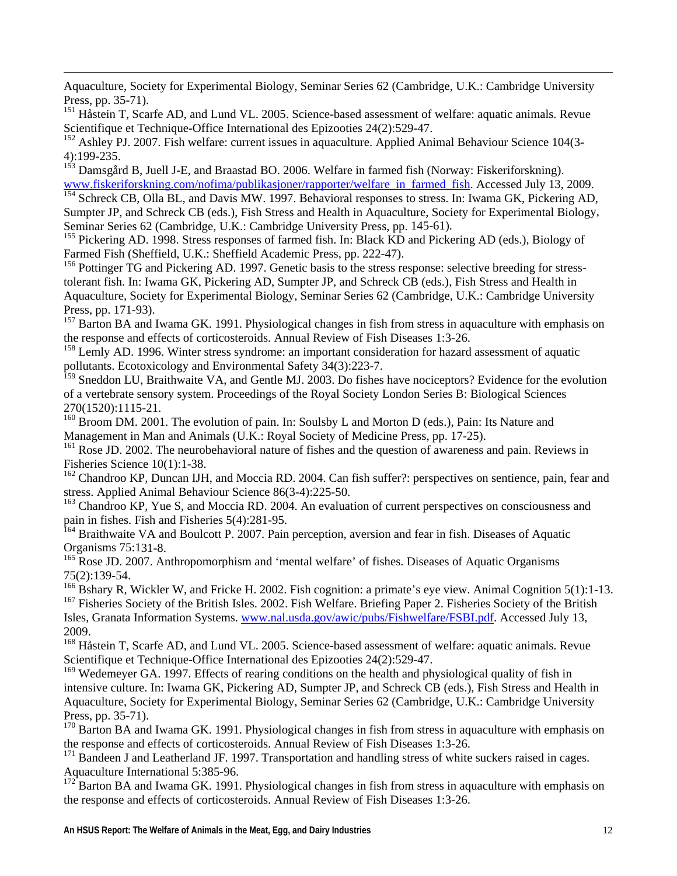Aquaculture, Society for Experimental Biology, Seminar Series 62 (Cambridge, U.K.: Cambridge University Press, pp. 35-71).

<span id="page-11-0"></span> $\overline{a}$ 

Scientifique et Technique-Office International des Epizooties 24(2):529-47. <sup>151</sup> Håstein T, Scarfe AD, and Lund VL. 2005. Science-based assessment of welfare: aquatic animals. Revue

<sup>152</sup> Ashley PJ. 2007. Fish welfare: current issues in aquaculture. Applied Animal Behaviour Science 104(3-4):199-235.

<sup>153</sup> Damsgård B, Juell J-E, and Braastad BO. 2006. Welfare in farmed fish (Norway: Fiskeriforskning). www.fiskeriforskning.com/nofima/publikasjoner/rapporter/welfare\_in\_farmed\_fish. Accessed July 13, 2009.

<sup>154</sup> Schreck CB, Olla BL, and Davis MW. 1997. Behavioral responses to stress. In: Iwama GK, Pickering AD, Sumpter JP, and Schreck CB (eds.), Fish Stress and Health in Aquaculture, Society for Experimental Biology, Seminar Series 62 (Cambridge, U.K.: Cambridge University Press, pp. 145-61).

<sup>155</sup> Pickering AD. 1998. Stress responses of farmed fish. In: Black KD and Pickering AD (eds.), Biology of Farmed Fish (Sheffield, U.K.: Sheffield Academic Press, pp. 222-47).

tolerant fish. In: Iwama GK, Pickering AD, Sumpter JP, and Schreck CB (eds.), Fish Stress and Health in <sup>156</sup> Pottinger TG and Pickering AD. 1997. Genetic basis to the stress response: selective breeding for stress-Aquaculture, Society for Experimental Biology, Seminar Series 62 (Cambridge, U.K.: Cambridge University Press, pp. 171-93).

the response and effects of corticosteroids. Annual Review of Fish Diseases 1:3-26. <sup>157</sup> Barton BA and Iwama GK. 1991. Physiological changes in fish from stress in aquaculture with emphasis on

<sup>158</sup> Lemly AD. 1996. Winter stress syndrome: an important consideration for hazard assessment of aquatic pollutants. Ecotoxicology and Environmental Safety 34(3):223-7.

thwaite VA, and Gentle MJ. 2003. Do fishes have nociceptors? Evidence for the evolution of a vertebrate sensory system. Proceedings of the Royal Society London Series B: Biological Sciences <sup>159</sup> Sneddon LU, Brai 270(1520):1115-21.

Management in Man and Animals (U.K.: Royal Society of Medicine Press, pp. 17-25). <sup>160</sup> Broom DM. 2001. The evolution of pain. In: Soulsby L and Morton D (eds.), Pain: Its Nature and

<sup>161</sup> Rose JD. 2002. The neurobehavioral nature of fishes and the question of awareness and pain. Reviews in Fisheries Science 10(1):1-38.

 $162$  Chandroo KP, Duncan IJH, and Moccia RD. 2004. Can fish suffer?: perspectives on sentience, pain, fear and stress. Applied Animal Behaviour Science 86(3-4):225-50.

<sup>163</sup> Chandroo KP, Yue S, and Moccia RD. 2004. An evaluation of current perspectives on consciousness and Fisheries 5(4):281-95. pain in fishes. Fish and

c Organisms 75:131-8. <sup>164</sup> Braithwaite VA and Boulcott P. 2007. Pain perception, aversion and fear in fish. Diseases of Aquati

<sup>165</sup> Rose JD. 2007. Anthropomorphism and 'mental welfare' of fishes. Diseases of Aquatic Organisms 75(2):139-54.

<sup>166</sup> Bshary R, Wickler W, and Fricke H. 2002. Fish cognition: a primate's eye view. Animal Cognition 5(1):1-13. <sup>167</sup> Fisheries Society of the British Isles. 2002. Fish Welfare. Briefing Paper 2. Fisheries Society of the British

Isles, Granata Information Systems. www.nal.usda.gov/awic/pubs/Fishwelfare/FSBI.pdf. Accessed July 13, 2009.

<sup>168</sup> Håstein T, Scarfe AD, and Lund VL. 2005. Science-based assessment of welfare: aquatic animals. Revue Scientifique et Technique-Office International des Epizooties 24(2):529-47.

<sup>169</sup> Wedemeyer GA. 1997. Effects of rearing conditions on the health and physiological quality of fish in intensive culture. I n: Iwama GK, Pickering AD, Sumpter JP, and Schreck CB (eds.), Fish Stress and Health in Aquaculture, Society for Experimental Biology, Seminar Series 62 (Cambridge, U.K.: Cambridge University Press, pp. 35-71).

<sup>170</sup> Barton BA and Iwama GK. 1991. Physiological changes in fish from stress in aquaculture with emphasis on the response and effects of corticosteroids. Annual Review of Fish Diseases 1:3-26.

<sup>171</sup> Bandeen J and Leatherland JF. 1997. Transportation and handling stress of white suckers raised in cages. Aquaculture International 5:385-96.

 $172$  Barton BA and Iwama GK. 1991. Physiological changes in fish from stress in aquaculture with emphasis on the response and effects of corticosteroids. Annual Review of Fish Diseases 1:3-26.